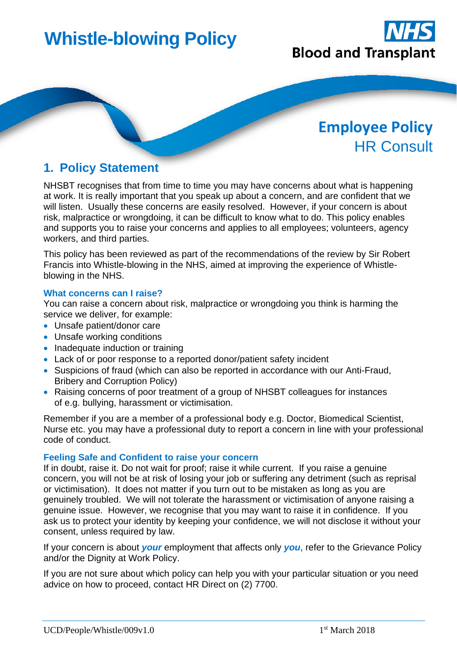# **Whistle-blowing Policy**



## **Employee Policy** HR Consult

### **1. Policy Statement**

NHSBT recognises that from time to time you may have concerns about what is happening at work. It is really important that you speak up about a concern, and are confident that we will listen. Usually these concerns are easily resolved. However, if your concern is about risk, malpractice or wrongdoing, it can be difficult to know what to do. This policy enables and supports you to raise your concerns and applies to all employees; volunteers, agency workers, and third parties.

This policy has been reviewed as part of the recommendations of the review by Sir Robert Francis into Whistle-blowing in the NHS, aimed at improving the experience of Whistleblowing in the NHS.

#### **What concerns can I raise?**

You can raise a concern about risk, malpractice or wrongdoing you think is harming the service we deliver, for example:

- Unsafe patient/donor care
- Unsafe working conditions
- Inadequate induction or training
- Lack of or poor response to a reported donor/patient safety incident
- Suspicions of fraud (which can also be reported in accordance with our Anti-Fraud, Bribery and Corruption Policy)
- Raising concerns of poor treatment of a group of NHSBT colleagues for instances of e.g. bullying, harassment or victimisation.

Remember if you are a member of a professional body e.g. Doctor, Biomedical Scientist, Nurse etc. you may have a professional duty to report a concern in line with your professional code of conduct.

#### **Feeling Safe and Confident to raise your concern**

If in doubt, raise it. Do not wait for proof; raise it while current. If you raise a genuine concern, you will not be at risk of losing your job or suffering any detriment (such as reprisal or victimisation). It does not matter if you turn out to be mistaken as long as you are genuinely troubled. We will not tolerate the harassment or victimisation of anyone raising a genuine issue. However, we recognise that you may want to raise it in confidence. If you ask us to protect your identity by keeping your confidence, we will not disclose it without your consent, unless required by law.

If your concern is about *your* employment that affects only *you*, refer to the Grievance Policy and/or the Dignity at Work Policy.

If you are not sure about which policy can help you with your particular situation or you need advice on how to proceed, contact HR Direct on (2) 7700.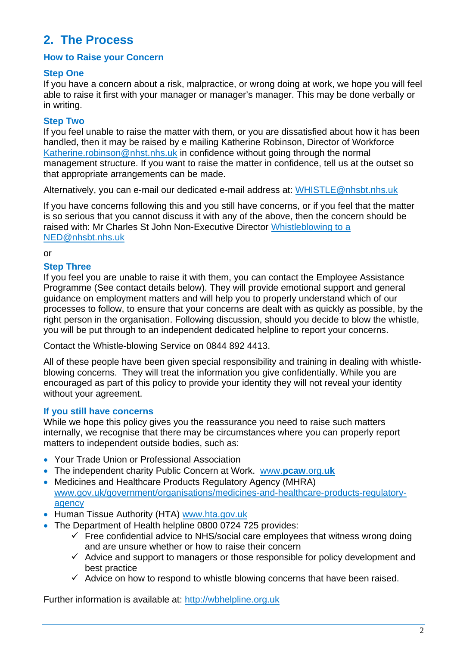## **2. The Process**

#### **How to Raise your Concern**

#### **Step One**

If you have a concern about a risk, malpractice, or wrong doing at work, we hope you will feel able to raise it first with your manager or manager's manager. This may be done verbally or in writing.

#### **Step Two**

If you feel unable to raise the matter with them, or you are dissatisfied about how it has been handled, then it may be raised by e mailing Katherine Robinson, Director of Workforce [Katherine.robinson@nhst.nhs.uk](mailto:Katherine.robinson@nhst.nhs.uk) in confidence without going through the normal management structure. If you want to raise the matter in confidence, tell us at the outset so that appropriate arrangements can be made.

Alternatively, you can e-mail our dedicated e-mail address at: [WHISTLE@nhsbt.nhs.uk](mailto:WHISTLE@nhsbt.nhs.uk)

If you have concerns following this and you still have concerns, or if you feel that the matter is so serious that you cannot discuss it with any of the above, then the concern should be raised with: Mr Charles St John Non-Executive Director [Whistleblowing to a](mailto:Whistleblowing%20to%20a%20NED@nhsbt.nhs.uk)  [NED@nhsbt.nhs.uk](mailto:Whistleblowing%20to%20a%20NED@nhsbt.nhs.uk)

#### or

#### **Step Three**

If you feel you are unable to raise it with them, you can contact the Employee Assistance Programme (See contact details below). They will provide emotional support and general guidance on employment matters and will help you to properly understand which of our processes to follow, to ensure that your concerns are dealt with as quickly as possible, by the right person in the organisation. Following discussion, should you decide to blow the whistle, you will be put through to an independent dedicated helpline to report your concerns.

Contact the Whistle-blowing Service on 0844 892 4413.

All of these people have been given special responsibility and training in dealing with whistleblowing concerns. They will treat the information you give confidentially. While you are encouraged as part of this policy to provide your identity they will not reveal your identity without your agreement.

#### **If you still have concerns**

While we hope this policy gives you the reassurance you need to raise such matters internally, we recognise that there may be circumstances where you can properly report matters to independent outside bodies, such as:

- Your Trade Union or Professional Association
- The independent charity Public Concern at Work. [www.](http://www.pcaw.org.uk/)**pcaw**.org.**uk**
- Medicines and Healthcare Products Regulatory Agency (MHRA) [www.gov.uk/government/organisations/medicines-and-healthcare-products-regulatory](http://www.gov.uk/government/organisations/medicines-and-healthcare-products-regulatory-agency)[agency](http://www.gov.uk/government/organisations/medicines-and-healthcare-products-regulatory-agency)
- Human Tissue Authority (HTA) [www.hta.gov.uk](http://www.hta.gov.uk/)
- The Department of Health helpline 0800 0724 725 provides:
	- $\checkmark$  Free confidential advice to NHS/social care employees that witness wrong doing and are unsure whether or how to raise their concern
	- $\checkmark$  Advice and support to managers or those responsible for policy development and best practice
	- $\checkmark$  Advice on how to respond to whistle blowing concerns that have been raised.

Further information is available at: [http://wbhelpline.org.uk](http://wbhelpline.org.uk/)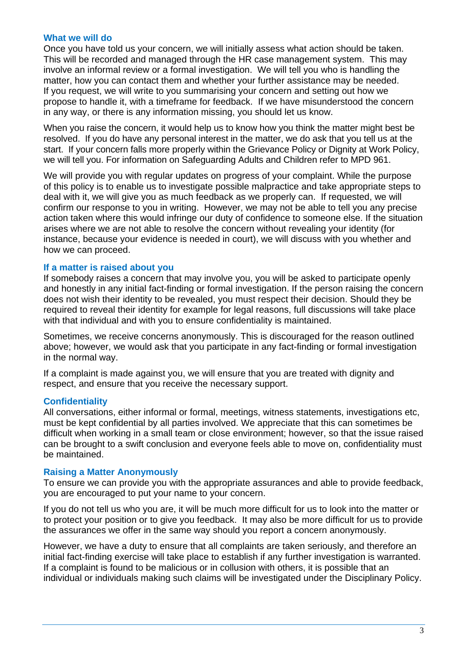#### **What we will do**

Once you have told us your concern, we will initially assess what action should be taken. This will be recorded and managed through the HR case management system. This may involve an informal review or a formal investigation. We will tell you who is handling the matter, how you can contact them and whether your further assistance may be needed. If you request, we will write to you summarising your concern and setting out how we propose to handle it, with a timeframe for feedback. If we have misunderstood the concern in any way, or there is any information missing, you should let us know.

When you raise the concern, it would help us to know how you think the matter might best be resolved. If you do have any personal interest in the matter, we do ask that you tell us at the start. If your concern falls more properly within the Grievance Policy or Dignity at Work Policy, we will tell you. For information on Safeguarding Adults and Children refer to MPD 961.

We will provide you with regular updates on progress of your complaint. While the purpose of this policy is to enable us to investigate possible malpractice and take appropriate steps to deal with it, we will give you as much feedback as we properly can. If requested, we will confirm our response to you in writing. However, we may not be able to tell you any precise action taken where this would infringe our duty of confidence to someone else. If the situation arises where we are not able to resolve the concern without revealing your identity (for instance, because your evidence is needed in court), we will discuss with you whether and how we can proceed.

#### **If a matter is raised about you**

If somebody raises a concern that may involve you, you will be asked to participate openly and honestly in any initial fact-finding or formal investigation. If the person raising the concern does not wish their identity to be revealed, you must respect their decision. Should they be required to reveal their identity for example for legal reasons, full discussions will take place with that individual and with you to ensure confidentiality is maintained.

Sometimes, we receive concerns anonymously. This is discouraged for the reason outlined above; however, we would ask that you participate in any fact-finding or formal investigation in the normal way.

If a complaint is made against you, we will ensure that you are treated with dignity and respect, and ensure that you receive the necessary support.

#### **Confidentiality**

All conversations, either informal or formal, meetings, witness statements, investigations etc, must be kept confidential by all parties involved. We appreciate that this can sometimes be difficult when working in a small team or close environment; however, so that the issue raised can be brought to a swift conclusion and everyone feels able to move on, confidentiality must be maintained.

#### **Raising a Matter Anonymously**

To ensure we can provide you with the appropriate assurances and able to provide feedback, you are encouraged to put your name to your concern.

If you do not tell us who you are, it will be much more difficult for us to look into the matter or to protect your position or to give you feedback. It may also be more difficult for us to provide the assurances we offer in the same way should you report a concern anonymously.

However, we have a duty to ensure that all complaints are taken seriously, and therefore an initial fact-finding exercise will take place to establish if any further investigation is warranted. If a complaint is found to be malicious or in collusion with others, it is possible that an individual or individuals making such claims will be investigated under the Disciplinary Policy.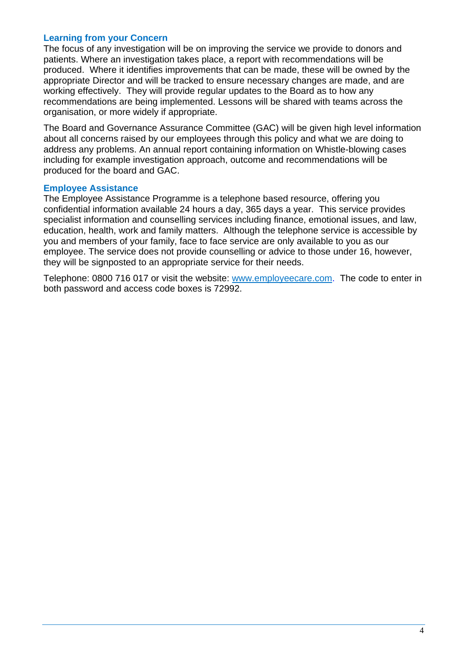#### **Learning from your Concern**

The focus of any investigation will be on improving the service we provide to donors and patients. Where an investigation takes place, a report with recommendations will be produced. Where it identifies improvements that can be made, these will be owned by the appropriate Director and will be tracked to ensure necessary changes are made, and are working effectively. They will provide regular updates to the Board as to how any recommendations are being implemented. Lessons will be shared with teams across the organisation, or more widely if appropriate.

The Board and Governance Assurance Committee (GAC) will be given high level information about all concerns raised by our employees through this policy and what we are doing to address any problems. An annual report containing information on Whistle-blowing cases including for example investigation approach, outcome and recommendations will be produced for the board and GAC.

#### **Employee Assistance**

The Employee Assistance Programme is a telephone based resource, offering you confidential information available 24 hours a day, 365 days a year. This service provides specialist information and counselling services including finance, emotional issues, and law, education, health, work and family matters. Although the telephone service is accessible by you and members of your family, face to face service are only available to you as our employee. The service does not provide counselling or advice to those under 16, however, they will be signposted to an appropriate service for their needs.

Telephone: 0800 716 017 or visit the website: [www.employeecare.com.](http://www.employeecare.com/) The code to enter in both password and access code boxes is 72992.